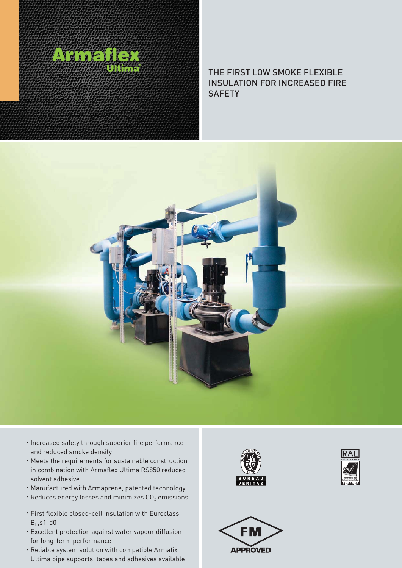

## THE FIRST LOW SMOKE FLEXIBLE INSULATION FOR INCREASED FIRE **SAFETY**



- **· Increased safety through superior fire performance** and reduced smoke density
- Meets the requirements for sustainable construction in combination with Armaflex Ultima RS850 reduced solvent adhesive
- Manufactured with Armaprene, patented technology
- $\cdot$  Reduces energy losses and minimizes  $CO<sub>2</sub>$  emissions
- First flexible closed-cell insulation with Euroclass  $B<sub>L</sub>$ ,s1-d0
- Excellent protection against water vapour diffusion for long-term performance
- Reliable system solution with compatible Armafix Ultima pipe supports, tapes and adhesives available





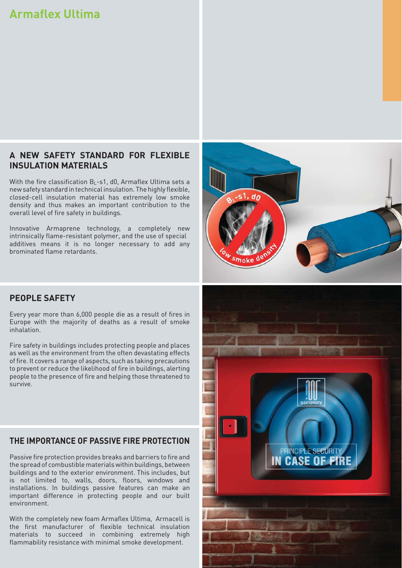# **Armaflex Ultima**

## **A NEW SAFETY STANDARD FOR FLEXIBLE INSULATION MATERIALS**

With the fire classification  $B_1$ -s1, d0, Armaflex Ultima sets a new safety standard in technical insulation. The highly flexible, closed-cell insulation material has extremely low smoke density and thus makes an important contribution to the overall level of fire safety in buildings.

Innovative Armaprene technology, a completely new intrinsically flame-resistant polymer, and the use of special additives means it is no longer necessary to add any brominated flame retardants.



#### **PEOPLE SAFETY**

Every year more than 6,000 people die as a result of fires in Europe with the majority of deaths as a result of smoke inhalation.

Fire safety in buildings includes protecting people and places as well as the environment from the often devastating effects of fire. It covers a range of aspects, such as taking precautions to prevent or reduce the likelihood of fire in buildings, alerting people to the presence of fire and helping those threatened to survive.

### **THE IMPORTANCE OF PASSIVE FIRE PROTECTION**

Passive fire protection provides breaks and barriers to fire and the spread of combustible materials within buildings, between buildings and to the exterior environment. This includes, but is not limited to, walls, doors, floors, windows and installations. In buildings passive features can make an important difference in protecting people and our built environment.

With the completely new foam Armaflex Ultima, Armacell is the first manufacturer of flexible technical insulation materials to succeed in combining extremely high flammability resistance with minimal smoke development.

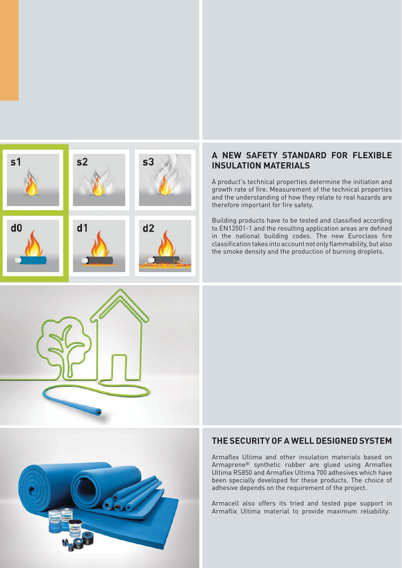

## **A NEW SAFETY STANDARD FOR FLEXIBLE INSULATION MATERIALS**

A product's technical properties determine the initiation and growth rate of fire. Measurement of the technical properties and the understanding of how they relate to real hazards are therefore important for fire safety.

Building products have to be tested and classified according to EN13501-1 and the resulting application areas are defined in the national building codes. The new Euroclass fire classification takes into account not only flammability, but also the smoke density and the production of burning droplets.





## **THE SECURITY OF A WELL DESIGNED SYSTEM**

Armaflex Ultima and other insulation materials based on Armaprene® synthetic rubber are glued using Armaflex Ultima RS850 and Armaflex Ultima 700 adhesives which have been specially developed for these products. The choice of adhesive depends on the requirement of the project.

Armacell also offers its tried and tested pipe support in Armaflix Ultima material to provide maximum reliability.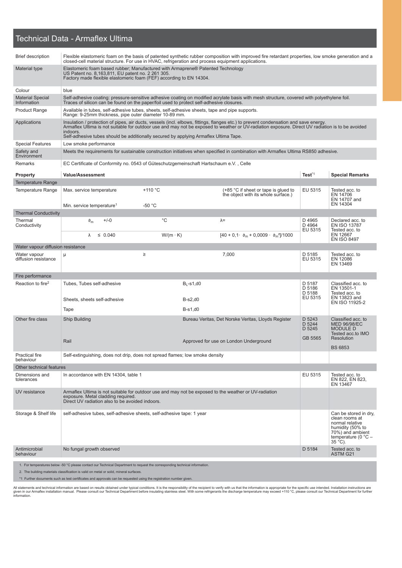#### Technical Data - Armaflex Ultima

| <b>Brief description</b>               | Flexible elastomeric foam on the basis of patented synthetic rubber composition with improved fire retardant properties, low smoke generation and a<br>closed-cell material structure. For use in HVAC, refrigeration and process equipment applications. |                 |                  |                                                                                                                                                                                                                                                                                          |                             |                                                                                   |  |
|----------------------------------------|-----------------------------------------------------------------------------------------------------------------------------------------------------------------------------------------------------------------------------------------------------------|-----------------|------------------|------------------------------------------------------------------------------------------------------------------------------------------------------------------------------------------------------------------------------------------------------------------------------------------|-----------------------------|-----------------------------------------------------------------------------------|--|
| Material type                          | Elastomeric foam based rubber; Manufactured with Armaprene® Patented Technology<br>US Patent no. 8,163,811, EU patent no. 2 261 305.<br>Factory made flexible elastomeric foam (FEF) according to EN 14304.                                               |                 |                  |                                                                                                                                                                                                                                                                                          |                             |                                                                                   |  |
| Colour                                 | blue                                                                                                                                                                                                                                                      |                 |                  |                                                                                                                                                                                                                                                                                          |                             |                                                                                   |  |
| <b>Material Special</b><br>Information | Traces of silicon can be found on the paper/foil used to protect self-adhesive closures.                                                                                                                                                                  |                 |                  | Self-adhesive coating: pressure-sensitive adhesive coating on modified acrylate basis with mesh structure, covered with polyethylene foil.                                                                                                                                               |                             |                                                                                   |  |
| <b>Product Range</b>                   | Available in tubes, self-adhesive tubes, sheets, self-adhesive sheets, tape and pipe supports.<br>Range: 9-25mm thickness, pipe outer diameter 10-89 mm.                                                                                                  |                 |                  |                                                                                                                                                                                                                                                                                          |                             |                                                                                   |  |
| Applications                           | indoors.<br>Self-adhesive tubes should be additionally secured by applying Armaflex Ultima Tape.                                                                                                                                                          |                 |                  | Insulation / protection of pipes, air ducts, vessels (incl. elbows, fittings, flanges etc.) to prevent condensation and save energy.<br>Armaflex Ultima is not suitable for outdoor use and may not be exposed to weather or UV-radiation exposure. Direct UV radiation is to be avoided |                             |                                                                                   |  |
| <b>Special Features</b>                | Low smoke performance                                                                                                                                                                                                                                     |                 |                  |                                                                                                                                                                                                                                                                                          |                             |                                                                                   |  |
| Safety and<br>Environment              |                                                                                                                                                                                                                                                           |                 |                  | Meets the requirements for sustainable construction initiatives when specified in combination with Armaflex Ultima RS850 adhesive.                                                                                                                                                       |                             |                                                                                   |  |
| Remarks                                | EC Certificate of Conformity no. 0543 of Güteschutzgemeinschaft Hartschaum e.V., Celle                                                                                                                                                                    |                 |                  |                                                                                                                                                                                                                                                                                          |                             |                                                                                   |  |
| <b>Property</b>                        | <b>Value/Assessment</b>                                                                                                                                                                                                                                   |                 |                  |                                                                                                                                                                                                                                                                                          | Test <sup>*1</sup>          | <b>Special Remarks</b>                                                            |  |
| <b>Temperature Range</b>               |                                                                                                                                                                                                                                                           |                 |                  |                                                                                                                                                                                                                                                                                          |                             |                                                                                   |  |
| <b>Temperature Range</b>               | Max. service temperature                                                                                                                                                                                                                                  | $+110 °C$       |                  | $(+85 °C)$ if sheet or tape is glued to<br>the object with its whole surface.)                                                                                                                                                                                                           | EU 5315                     | Tested acc. to<br>EN 14706<br>EN 14707 and                                        |  |
|                                        | Min. service temperature <sup>1</sup>                                                                                                                                                                                                                     | $-50 °C$        |                  |                                                                                                                                                                                                                                                                                          |                             | EN 14304                                                                          |  |
| <b>Thermal Conductivity</b>            |                                                                                                                                                                                                                                                           |                 |                  |                                                                                                                                                                                                                                                                                          |                             |                                                                                   |  |
| Thermal<br>Conductivity                | $+/-0$<br>$\vartheta_{\sf m}$                                                                                                                                                                                                                             | $^{\circ}C$     |                  | $\lambda =$                                                                                                                                                                                                                                                                              | D 4965<br>D 4964<br>EU 5315 | Declared acc. to<br><b>EN ISO 13787</b><br>Tested acc. to                         |  |
|                                        | $\leq 0.040$<br>λ                                                                                                                                                                                                                                         | $W/(m \cdot K)$ |                  | $[40 + 0.1 \cdot \vartheta_{m} + 0.0009 \cdot \vartheta_{m}^{2}]/1000$                                                                                                                                                                                                                   |                             | EN 12667<br><b>EN ISO 8497</b>                                                    |  |
| Water vapour diffusion resistance      |                                                                                                                                                                                                                                                           |                 |                  |                                                                                                                                                                                                                                                                                          |                             |                                                                                   |  |
| Water vapour<br>diffusion resistance   | μ                                                                                                                                                                                                                                                         | ≥               |                  | 7,000                                                                                                                                                                                                                                                                                    | D 5185<br>EU 5315           | Tested acc. to<br>EN 12086<br>EN 13469                                            |  |
| Fire performance                       |                                                                                                                                                                                                                                                           |                 |                  |                                                                                                                                                                                                                                                                                          |                             |                                                                                   |  |
| Reaction to fire <sup>2</sup>          | Tubes, Tubes self-adhesive                                                                                                                                                                                                                                |                 | $B_1 - S_1$ , d0 |                                                                                                                                                                                                                                                                                          | D 5187<br>D 5186<br>D 5188  | Classified acc. to<br>EN 13501-1<br>Tested acc. to                                |  |
|                                        | Sheets, sheets self-adhesive                                                                                                                                                                                                                              |                 | $B-s2,d0$        |                                                                                                                                                                                                                                                                                          | EU 5315                     | EN 13823 and<br>EN ISO 11925-2                                                    |  |
|                                        | Tape                                                                                                                                                                                                                                                      |                 | $B-s1,d0$        |                                                                                                                                                                                                                                                                                          |                             |                                                                                   |  |
| Other fire class                       | Ship Building                                                                                                                                                                                                                                             |                 |                  | Bureau Veritas, Det Norske Veritas, Lloyds Register                                                                                                                                                                                                                                      | D 5243<br>D 5244<br>D 5245  | Classified acc. to<br><b>MED 96/98/EC</b><br><b>MODULE D</b><br>Tested acc.to IMO |  |
|                                        | Rail                                                                                                                                                                                                                                                      |                 |                  | Approved for use on London Underground                                                                                                                                                                                                                                                   | GB 5565                     | Resolution<br><b>BS 6853</b>                                                      |  |
| <b>Practical fire</b><br>behaviour     | Self-extinguishing, does not drip, does not spread flames; low smoke density                                                                                                                                                                              |                 |                  |                                                                                                                                                                                                                                                                                          |                             |                                                                                   |  |
| Other technical features               |                                                                                                                                                                                                                                                           |                 |                  |                                                                                                                                                                                                                                                                                          |                             |                                                                                   |  |
| Dimensions and<br>tolerances           | EU 5315<br>Tested acc. to<br>In accordance with EN 14304, table 1<br>EN 822, EN 823,                                                                                                                                                                      |                 |                  |                                                                                                                                                                                                                                                                                          |                             | EN 13467                                                                          |  |
| UV resistance                          | Armaflex Ultima is not suitable for outdoor use and may not be exposed to the weather or UV-radiation<br>exposure. Metal cladding required.<br>Direct UV radiation also to be avoided indoors.                                                            |                 |                  |                                                                                                                                                                                                                                                                                          |                             |                                                                                   |  |
| Storage & Shelf life                   | self-adhesive tubes, self-adhesive sheets, self-adhesive tape: 1 year<br>Can be stored in dry,<br>clean rooms at<br>normal relative<br>humidity (50% to<br>70%) and ambient<br>temperature (0 $^{\circ}$ C -<br>$35^{\circ}$ C).                          |                 |                  |                                                                                                                                                                                                                                                                                          |                             |                                                                                   |  |
| Antimicrobial<br>behaviour             | No fungal growth observed                                                                                                                                                                                                                                 |                 |                  |                                                                                                                                                                                                                                                                                          | D 5184                      | Tested acc. to<br><b>ASTM G21</b>                                                 |  |
|                                        | 1. For temperatures below -50 °C please contact our Technical Department to request the corresponding technical information.<br>2. The building materials classification is valid on metal or solid, mineral surfaces.                                    |                 |                  |                                                                                                                                                                                                                                                                                          |                             |                                                                                   |  |

\*1 Further documents such as test certificates and approvals can be requested using the registration number given.

All statements and technical information are based on results obtained under typical conditions. It is the responsibility of the recipient to verify with us that the information is appropriate for the specific use intended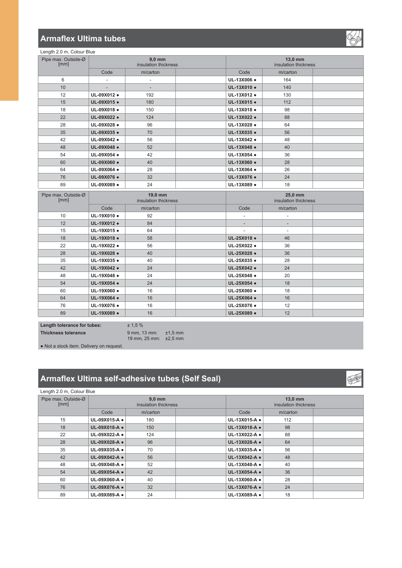### **Armaflex Ultima tubes**

Length 2.0 m, Colour Blue Pipe max. Outside-Ø<br>[mm]

Pipe

| 12                     | UL-09X012 · | 192                             | UL-13X012 .    | 130                             |  |
|------------------------|-------------|---------------------------------|----------------|---------------------------------|--|
| 15                     | UL-09X015 · | 180                             | UL-13X015 ·    | 112                             |  |
| 18                     | UL-09X018 · | 150                             | UL-13X018 ·    | 98                              |  |
| 22                     | UL-09X022 · | 124                             | UL-13X022 ·    | 88                              |  |
| 28                     | UL-09X028 · | 96                              | UL-13X028 ·    | 64                              |  |
| 35                     | UL-09X035 · | 70                              | UL-13X035 ·    | 56                              |  |
| 42                     | UL-09X042 · | 56                              | UL-13X042 .    | 48                              |  |
| 48                     | UL-09X048 · | 52                              | UL-13X048 ·    | 40                              |  |
| 54                     | UL-09X054 · | 42                              | UL-13X054 ·    | 36                              |  |
| 60                     | UL-09X060 · | 40                              | UL-13X060 .    | 28                              |  |
| 64                     | UL-09X064 . | 28                              | UL-13X064 ·    | 26                              |  |
| 76                     | UL-09X076 · | 32                              | UL-13X076 ·    | 24                              |  |
| 89                     | UL-09X089 · | 24                              | UL-13X089 .    | 18                              |  |
| max. Outside-Ø<br>[mm] |             | 19,0 mm<br>insulation thickness |                | 25,0 mm<br>insulation thickness |  |
|                        | Code        | m/carton                        | Code           | m/carton                        |  |
| 10                     | UL-19X010 · | 92                              | $\overline{a}$ | $\overline{a}$                  |  |
| 12                     | UL-19X012 · | 84                              | ÷              |                                 |  |
| 15                     | UL-19X015 · | 64                              | $\overline{a}$ | ٠                               |  |
| 18                     | UL-19X018 · | 58                              | UL-25X018 ·    | 46                              |  |
| 22                     | UL-19X022 · | 56                              | UL-25X022 ·    | 36                              |  |
| 28                     | UL-19X028 · | 40                              | UL-25X028 ·    | 36                              |  |

 **8/;**Ɣ **8/;**Ɣ **8/;**Ɣ **8/;**Ɣ 48 **UL-19X048 • 24 Blue 24 Blue 25X048 •** 20 **8/;**Ɣ **8/;**Ɣ **8/;**Ɣ **8/;**Ɣ **8/;**Ɣ **8/;**Ɣ **8/;**Ɣ **8/;**Ɣ **89 UL-19X089 • 16 16 UL-25X089 •** 12

 **8/;**Ɣ **8/<sub>10</sub> 8/<sub>11</sub> <b>8/2010 8 8/11 8/11 8/11 8/11 8/11 8/11 8/11 8/11 8/11 8/11 8/11 8/11 8/11 8/11 8/11 8/11 8/11 8/11 8/11 8/11 8/11 8/11 8/11 8/11 8/11 8/11 8/11 8/** 

. Not a stock item. Delivery on request.

**Length tolerance for tubes:**  $\pm 1.5\%$ 

**7KLFNDBS** Folerance Sample 1,5 mm

# **Armaflex Ultima self-adhesive tubes (Self Seal)**

19 mm, 25 mm:  $\pm 2.5$  mm

| Length 2.0 m, Colour Blue   |                                  |          |                                 |               |          |  |
|-----------------------------|----------------------------------|----------|---------------------------------|---------------|----------|--|
| Pipe max. Outside-Ø<br>[mm] | $9.0$ mm<br>insulation thickness |          | 13,0 mm<br>insulation thickness |               |          |  |
|                             | Code                             | m/carton |                                 | Code          | m/carton |  |
| 15                          | UL-09X015-A .                    | 180      |                                 | UL-13X015-A . | 112      |  |
| 18                          | UL-09X018-A .                    | 150      |                                 | UL-13X018-A . | 98       |  |
| 22                          | UL-09X022-A .                    | 124      |                                 | UL-13X022-A . | 88       |  |
| 28                          | UL-09X028-A .                    | 96       |                                 | UL-13X028-A · | 64       |  |
| 35                          | UL-09X035-A .                    | 70       |                                 | UL-13X035-A . | 56       |  |
| 42                          | UL-09X042-A •                    | 56       |                                 | UL-13X042-A . | 48       |  |
| 48                          | UL-09X048-A •                    | 52       |                                 | UL-13X048-A . | 40       |  |
| 54                          | UL-09X054-A •                    | 42       |                                 | UL-13X054-A · | 36       |  |
| 60                          | UL-09X060-A •                    | 40       |                                 | UL-13X060-A . | 28       |  |
| 76                          | UL-09X076-A •                    | 32       |                                 | UL-13X076-A . | 24       |  |
| 89                          | UL-09X089-A .                    | 24       |                                 | UL-13X089-A . | 18       |  |

Code | m/carton | Code | m/carton

**9,0 mm** insulation thickness



 $13,0$  mm insulation thickness

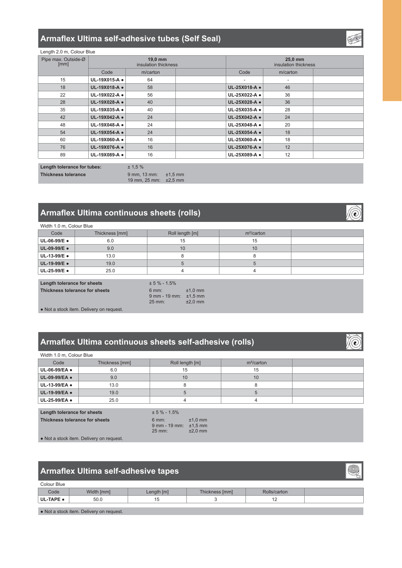## Armaflex Ultima self-adhesive tubes (Self Seal)

| Length 2.0 m, Colour Blue |  |  |
|---------------------------|--|--|
|                           |  |  |

| Pipe max. Outside-Ø<br>[mm] | 19.0 mm<br>insulation thickness |          | 25.0 mm<br>insulation thickness |               |          |  |
|-----------------------------|---------------------------------|----------|---------------------------------|---------------|----------|--|
|                             | Code                            | m/carton |                                 | Code          | m/carton |  |
| 15                          | UL-19X015-A .                   | 64       |                                 | ٠             |          |  |
| 18                          | UL-19X018-A .                   | 58       |                                 | UL-25X018-A · | 46       |  |
| 22                          | UL-19X022-A .                   | 56       |                                 | UL-25X022-A . | 36       |  |
| 28                          | UL-19X028-A .                   | 40       |                                 | UL-25X028-A · | 36       |  |
| 35                          | UL-19X035-A .                   | 40       |                                 | UL-25X035-A . | 28       |  |
| 42                          | UL-19X042-A .                   | 24       |                                 | UL-25X042-A · | 24       |  |
| 48                          | UL-19X048-A .                   | 24       |                                 | UL-25X048-A . | 20       |  |
| 54                          | UL-19X054-A ·                   | 24       |                                 | UL-25X054-A · | 18       |  |
| 60                          | UL-19X060-A .                   | 16       |                                 | UL-25X060-A . | 18       |  |
| 76                          | UL-19X076-A .                   | 16       |                                 | UL-25X076-A . | 12       |  |
| 89                          | UL-19X089-A ·                   | 16       |                                 | UL-25X089-A . | 12       |  |

Length tolerance for tubes: **Thickness tolerance** 

 $± 1,5%$  $9$  mm, 13 mm:  $\pm 1,5$  mm 19 mm, 25 mm:  $\pm 2.5$  mm

# Armaflex Ultima continuous sheets (rolls)

| Width 1.0 m, Colour Blue |                |                 |               |  |  |  |
|--------------------------|----------------|-----------------|---------------|--|--|--|
| Code                     | Thickness [mm] | Roll length [m] | $m^2$ /carton |  |  |  |
| UL-06-99/E •             | 6.0            | 15              | 15            |  |  |  |
| UL-09-99/E .             | 9.0            | 10              | 10            |  |  |  |
| UL-13-99/E .             | 13.0           |                 |               |  |  |  |
| UL-19-99/E .             | 19.0           |                 |               |  |  |  |
| UL-25-99/E ●             | 25.0           |                 |               |  |  |  |

# Length tolerance for sheets Thickness tolerance for sheets

| $± 5 \% - 1.5%$   |           |
|-------------------|-----------|
| $6$ mm:           | $±1.0$ mm |
| $9$ mm - $19$ mm: | $±1,5$ mm |
| $25$ mm $\cdot$   | $+20$ mm  |

• Not a stock item. Delivery on request.

# Armaflex Ultima continuous sheets self-adhesive (rolls)

| Width 1.0 m, Colour Blue |                |                 |               |  |  |  |
|--------------------------|----------------|-----------------|---------------|--|--|--|
| Code                     | Thickness [mm] | Roll length [m] | $m^2$ /carton |  |  |  |
| UL-06-99/EA .            | 6.0            | 15              | 15            |  |  |  |
| UL-09-99/EA .            | 9.0            | 10              | 10            |  |  |  |
| UL-13-99/EA .            | 13.0           |                 |               |  |  |  |
| UL-19-99/EA .            | 19.0           |                 |               |  |  |  |
| UL-25-99/EA .            | 25.0           |                 |               |  |  |  |

| Length tolerance for sheets    | $± 5 \% - 1.5%$                                              |                        |
|--------------------------------|--------------------------------------------------------------|------------------------|
| Thickness tolerance for sheets | $6 \text{ mm}$ :<br>$9$ mm - 19 mm: $\pm 1.5$ mm<br>$25$ mm: | $±1.0$ mm<br>$±2.0$ mm |

• Not a stock item. Delivery on request.

## Armaflex Ultima self-adhesive tapes

| Colour Blue |            |            |                |              |  |
|-------------|------------|------------|----------------|--------------|--|
| Code        | Width [mm] | Length [m] | Thickness [mm] | Rolls/carton |  |
| UL-TAPE .   | 50.0       |            |                | . .          |  |
|             |            |            |                |              |  |

. Not a stock item. Delivery on request.



O

(è